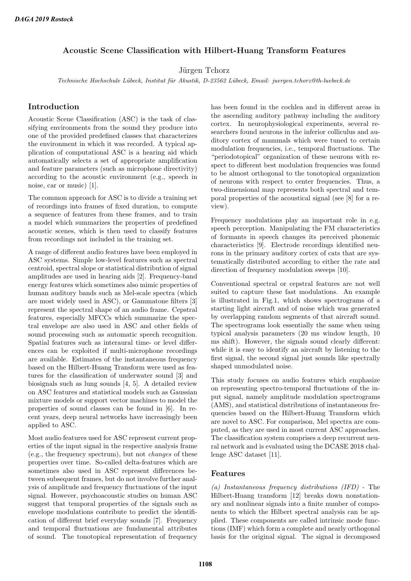# Acoustic Scene Classification with Hilbert-Huang Transform Features

Jürgen Tchorz

Technische Hochschule Lübeck, Institut für Akustik, D-23562 Lübeck, Email: juergen.tchorz@th-luebeck.de

## Introduction

Acoustic Scene Classification (ASC) is the task of classifying environments from the sound they produce into one of the provided predefined classes that characterizes the environment in which it was recorded. A typical application of computational ASC is a hearing aid which automatically selects a set of appropriate amplification and feature parameters (such as microphone directivity) according to the acoustic environment (e.g., speech in noise, car or music) [1].

The common approach for ASC is to divide a training set of recordings into frames of fixed duration, to compute a sequence of features from these frames, and to train a model which summarizes the properties of predefined acoustic scenes, which is then used to classify features from recordings not included in the training set.

A range of different audio features have been employed in ASC systems. Simple low-level features such as spectral centroid, spectral slope or statistical distribution of signal amplitudes are used in hearing aids [2]. Frequency-band energy features which sometimes also mimic properties of human auditory bands such as Mel-scale spectra (which are most widely used in ASC), or Gammatone filters [3] represent the spectral shape of an audio frame. Cepstral features, especially MFCCs which summarize the spectral envelope are also used in ASC and other fields of sound processing such as automatic speech recognition. Spatial features such as interaural time- or level differences can be exploited if multi-microphone recordings are available. Estimates of the instantaneous frequency based on the Hilbert-Huang Transform were used as features for the classification of underwater sound [3] and biosignals such as lung sounds [4, 5]. A detailed review on ASC features and statistical models such as Gaussian mixture models or support vector machines to model the properties of sound classes can be found in [6]. In recent years, deep neural networks have increasingly been applied to ASC.

Most audio features used for ASC represent current properties of the input signal in the respective analysis frame (e.g., the frequency spectrum), but not changes of these properties over time. So-called delta-features which are sometimes also used in ASC represent differences between subsequent frames, but do not involve further analysis of amplitude and frequency fluctuations of the input signal. However, psychoacoustic studies on human ASC suggest that temporal properties of the signals such as envelope modulations contribute to predict the identification of different brief everyday sounds [7]. Frequency and temporal fluctuations are fundamental attributes of sound. The tonotopical representation of frequency

has been found in the cochlea and in different areas in the ascending auditory pathway including the auditory cortex. In neurophysiological experiments, several researchers found neurons in the inferior colliculus and auditory cortex of mammals which were tuned to certain modulation frequencies, i.e., temporal fluctuations. The "periodotopical" organization of these neurons with respect to different best modulation frequencies was found to be almost orthogonal to the tonotopical organization of neurons with respect to center frequencies. Thus, a two-dimensional map represents both spectral and temporal properties of the acoustical signal (see [8] for a review).

Frequency modulations play an important role in e.g. speech perception. Manipulating the FM characteristics of formants in speech changes its perceived phonemic characteristics [9]. Electrode recordings identified neurons in the primary auditory cortex of cats that are systematically distributed according to either the rate and direction of frequency modulation sweeps [10].

Conventional spectral or cepstral features are not well suited to capture these fast modulations. An example is illustrated in Fig.1, which shows spectrograms of a starting light aircraft and of noise which was generated by overlapping random segments of that aircraft sound. The spectrograms look essentially the same when using typical analysis parameters (20 ms window length, 10 ms shift). However, the signals sound clearly different: while it is easy to identify an aircraft by listening to the first signal, the second signal just sounds like spectrally shaped unmodulated noise.

This study focuses on audio features which emphasize on representing spectro-temporal fluctuations of the input signal, namely amplitude modulation spectrograms (AMS), and statistical distributions of instantaneous frequencies based on the Hilbert-Huang Transform which are novel to ASC. For comparison, Mel spectra are computed, as they are used in most current ASC approaches. The classification system comprises a deep recurrent neural network and is evaluated using the DCASE 2018 challenge ASC dataset [11].

#### Features

(a) Instantaneous frequency distributions (IFD) - The Hilbert-Huang transform [12] breaks down nonstationary and nonlinear signals into a finite number of components to which the Hilbert spectral analysis can be applied. These components are called intrinsic mode functions (IMF) which form a complete and nearly orthogonal basis for the original signal. The signal is decomposed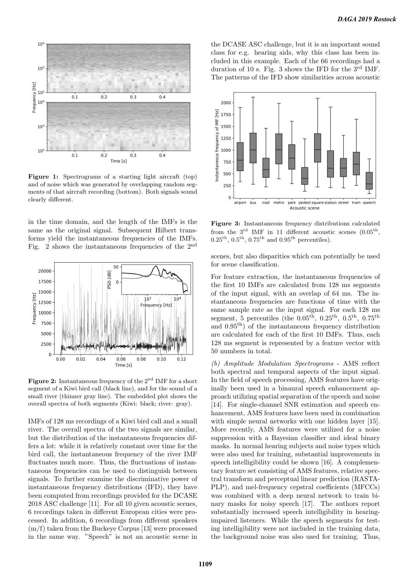

Figure 1: Spectrograms of a starting light aircraft (top) and of noise which was generated by overlapping random segments of that aircraft recording (bottom). Both signals sound clearly different.

in the time domain, and the length of the IMFs is the same as the original signal. Subsequent Hilbert transforms yield the instantaneous frequencies of the IMFs. Fig. 2 shows the instantaneous frequencies of the 2nd



Figure 2: Instantaneous frequency of the  $2<sup>nd</sup>$  IMF for a short segment of a Kiwi bird call (black line), and for the sound of a small river (thinner gray line). The embedded plot shows the overall spectra of both segments (Kiwi: black; river: gray).

IMFs of 128 ms recordings of a Kiwi bird call and a small river. The overall spectra of the two signals are similar, but the distribution of the instantaneous frequencies differs a lot: while it is relatively constant over time for the bird call, the instantaneous frequency of the river IMF fluctuates much more. Thus, the fluctuations of instantaneous frequencies can be used to distinguish between signals. To further examine the discriminative power of instantaneous frequency distributions (IFD), they have been computed from recordings provided for the DCASE 2018 ASC challenge [11]. For all 10 given acoustic scenes, 6 recordings taken in different European cities were processed. In addition, 6 recordings from different speakers  $(m/f)$  taken from the Buckeye Corpus [13] were processed in the same way. "Speech" is not an acoustic scene in the DCASE ASC challenge, but it is an important sound class for e.g. hearing aids, why this class has been included in this example. Each of the 66 recordings had a duration of 10 s. Fig. 3 shows the IFD for the  $3^{\text{rd}}$  IMF. The patterns of the IFD show similarities across acoustic



Figure 3: Instantaneous frequency distributions calculated from the  $3^{\text{rd}}$  IMF in 11 different acoustic scenes  $(0.05^{\text{th}})$ ,  $0.25^{\text{th}}$ ,  $0.5^{\text{th}}$ ,  $0.75^{\text{th}}$  and  $0.95^{\text{th}}$  percentiles).

scenes, but also disparities which can potentially be used for scene classification.

For feature extraction, the instantaneous frequencies of the first 10 IMFs are calculated from 128 ms segments of the input signal, with an overlap of 64 ms. The instantaneous frequencies are functions of time with the same sample rate as the input signal. For each 128 ms segment, 5 percentiles (the  $0.05<sup>th</sup>$ ,  $0.25<sup>th</sup>$ ,  $0.5<sup>th</sup>$ ,  $0.75<sup>th</sup>$ and 0.95th) of the instantaneous frequency distribution are calculated for each of the first 10 IMFs. Thus, each 128 ms segment is represented by a feature vector with 50 numbers in total.

(b) Amplitude Modulation Spectrograms - AMS reflect both spectral and temporal aspects of the input signal. In the field of speech processing, AMS features have originally been used in a binaural speech enhancement approach utilizing spatial separation of the speech and noise [14]. For single-channel SNR estimation and speech enhancement, AMS features have been used in combination with simple neural networks with one hidden layer [15]. More recently, AMS features were utilized for a noise suppression with a Bayesian classifier and ideal binary masks. In normal hearing subjects and noise types which were also used for training, substantial improvements in speech intelligibility could be shown [16]. A complementary feature set consisting of AMS features, relative spectral transform and perceptual linear prediction (RASTA-PLP), and mel-frequency cepstral coefficients (MFCCs) was combined with a deep neural network to train binary masks for noisy speech [17]. The authors report substantially increased speech intelligibility in hearingimpaired listeners. While the speech segments for testing intelligibility were not included in the training data, the background noise was also used for training. Thus,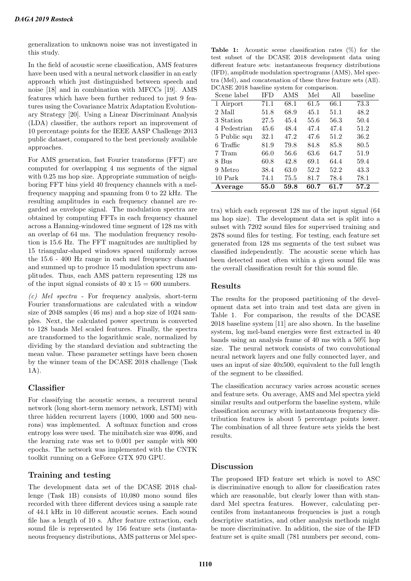generalization to unknown noise was not investigated in this study.

In the field of acoustic scene classification, AMS features have been used with a neural network classifier in an early approach which just distinguished between speech and noise [18] and in combination with MFCCs [19]. AMS features which have been further reduced to just 9 features using the Covariance Matrix Adaptation Evolutionary Strategy [20]. Using a Linear Discriminant Analysis (LDA) classifier, the authors report an improvement of 10 percentage points for the IEEE AASP Challenge 2013 public dataset, compared to the best previously available approaches.

For AMS generation, fast Fourier transforms (FFT) are computed for overlapping 4 ms segments of the signal with 0.25 ms hop size. Appropriate summation of neighboring FFT bins yield 40 frequency channels with a melfrequency mapping and spanning from 0 to 22 kHz. The resulting amplitudes in each frequency channel are regarded as envelope signal. The modulation spectra are obtained by computing FFTs in each frequency channel across a Hanning-windowed time segment of 128 ms with an overlap of 64 ms. The modulation frequency resolution is 15.6 Hz. The FFT magnitudes are multiplied by 15 triangular-shaped windows spaced uniformly across the 15.6 - 400 Hz range in each mel frequency channel and summed up to produce 15 modulation spectrum amplitudes. Thus, each AMS pattern representing 128 ms of the input signal consists of  $40 \times 15 = 600$  numbers.

(c) Mel spectra - For frequency analysis, short-term Fourier transformations are calculated with a window size of 2048 samples (46 ms) and a hop size of 1024 samples. Next, the calculated power spectrum is converted to 128 bands Mel scaled features. Finally, the spectra are transformed to the logarithmic scale, normalized by dividing by the standard deviation and subtracting the mean value. These parameter settings have been chosen by the winner team of the DCASE 2018 challenge (Task 1A).

## Classifier

For classifying the acoustic scenes, a recurrent neural network (long short-term memory network, LSTM) with three hidden recurrent layers (1000, 1000 and 500 neurons) was implemented. A softmax function and cross entropy loss were used. The minibatch size was 4096, and the learning rate was set to 0.001 per sample with 800 epochs. The network was implemented with the CNTK toolkit running on a GeForce GTX 970 GPU.

## Training and testing

The development data set of the DCASE 2018 challenge (Task 1B) consists of 10,080 mono sound files recorded with three different devices using a sample rate of 44.1 kHz in 10 different acoustic scenes. Each sound file has a length of 10 s. After feature extraction, each sound file is represented by 156 feature sets (instantaneous frequency distributions, AMS patterns or Mel spec-

Table 1: Acoustic scene classification rates (%) for the test subset of the DCASE 2018 development data using different feature sets: instantaneous frequency distributions (IFD), amplitude modulation spectrograms (AMS), Mel spectra (Mel), and concatenation of these three feature sets (All). DCASE 2018 baseline system for comparison.

| Scene label  | <b>IFD</b> | AMS  | Mel  | All  | baseline |
|--------------|------------|------|------|------|----------|
| 1 Airport    | 71.1       | 68.1 | 61.5 | 66.1 | 73.3     |
| 2 Mall       | 51.8       | 68.9 | 45.1 | 51.1 | 48.2     |
| 3 Station    | 27.5       | 45.4 | 55.6 | 56.3 | 50.4     |
| 4 Pedestrian | 45.6       | 48.4 | 47.4 | 47.4 | 51.2     |
| 5 Public squ | 32.1       | 47.2 | 47.6 | 51.2 | 36.2     |
| 6 Traffic    | 81.9       | 79.8 | 84.8 | 85.8 | 80.5     |
| 7 Tram       | 66.0       | 56.6 | 63.6 | 64.7 | 51.9     |
| 8 Bus        | 60.8       | 42.8 | 69.1 | 64.4 | 59.4     |
| 9 Metro      | 38.4       | 63.0 | 52.2 | 52.2 | 43.3     |
| 10 Park      | 74.1       | 75.5 | 81.7 | 78.4 | 78.1     |
| Average      | 55.0       | 59.8 | 60.7 | 61.7 | 57.2     |

tra) which each represent 128 ms of the input signal (64 ms hop size). The development data set is split into a subset with 7202 sound files for supervised training and 2878 sound files for testing. For testing, each feature set generated from 128 ms segments of the test subset was classified independently. The acoustic scene which has been detected most often within a given sound file was the overall classification result for this sound file.

### Results

The results for the proposed partitioning of the development data set into train and test data are given in Table 1. For comparison, the results of the DCASE 2018 baseline system [11] are also shown. In the baseline system, log mel-band energies were first extracted in 40 bands using an analysis frame of 40 ms with a 50% hop size. The neural network consists of two convolutional neural network layers and one fully connected layer, and uses an input of size 40x500, equivalent to the full length of the segment to be classified.

The classification accuracy varies across acoustic scenes and feature sets. On average, AMS and Mel spectra yield similar results and outperform the baseline system, while classification accuracy with instantaneous frequency distribution features is about 5 percentage points lower. The combination of all three feature sets yields the best results.

### Discussion

The proposed IFD feature set which is novel to ASC is discriminative enough to allow for classification rates which are reasonable, but clearly lower than with standard Mel spectra features. However, calculating percentiles from instantaneous frequencies is just a rough descriptive statistics, and other analysis methods might be more discriminative. In addition, the size of the IFD feature set is quite small (781 numbers per second, com